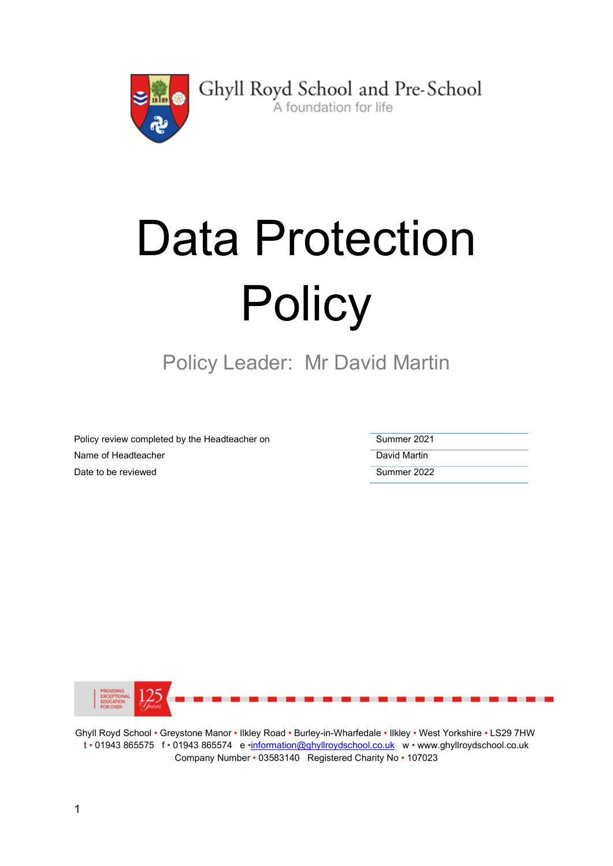

Ghyll Royd School and Pre-School A foundation for life

# Data Protection **Policy**

Policy Leader: Mr David Martin

Policy review completed by the Headteacher on Summer 2021 Name of Headteacher **David Martin** Date to be reviewed **Summer 2022** 



Ghyll Royd School • Greystone Manor • Ilkley Road • Burley-in-Wharfedale • Ilkley • West Yorkshire • LS29 7HW t • 01943 865575 f • 01943 865574 e •information@ghyllroydschool.co.uk w • www.ghyllroydschool.co.uk Company Number • 03583140 Registered Charity No • 107023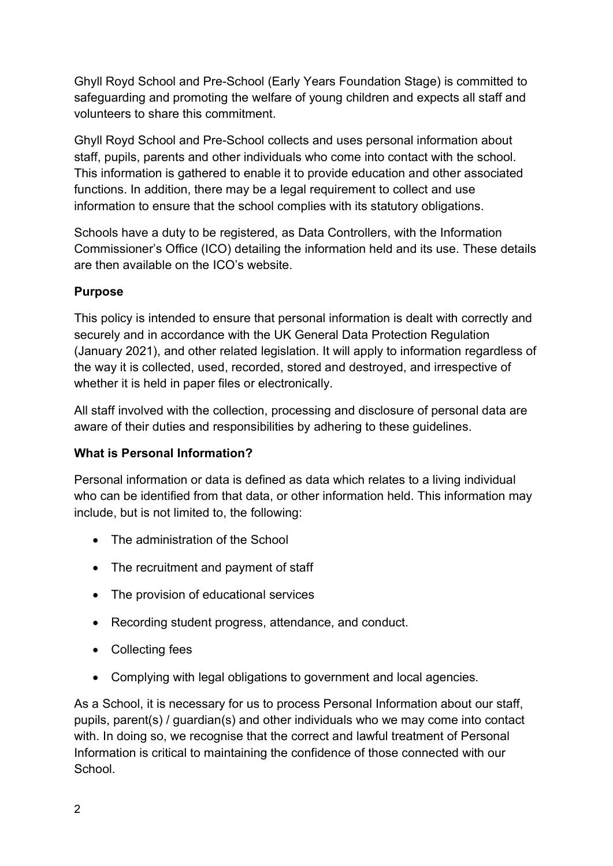Ghyll Royd School and Pre-School (Early Years Foundation Stage) is committed to safeguarding and promoting the welfare of young children and expects all staff and volunteers to share this commitment.

Ghyll Royd School and Pre-School collects and uses personal information about staff, pupils, parents and other individuals who come into contact with the school. This information is gathered to enable it to provide education and other associated functions. In addition, there may be a legal requirement to collect and use information to ensure that the school complies with its statutory obligations.

Schools have a duty to be registered, as Data Controllers, with the Information Commissioner's Office (ICO) detailing the information held and its use. These details are then available on the ICO's website.

# **Purpose**

This policy is intended to ensure that personal information is dealt with correctly and securely and in accordance with the UK General Data Protection Regulation (January 2021), and other related legislation. It will apply to information regardless of the way it is collected, used, recorded, stored and destroyed, and irrespective of whether it is held in paper files or electronically.

All staff involved with the collection, processing and disclosure of personal data are aware of their duties and responsibilities by adhering to these guidelines.

# What is Personal Information?

Personal information or data is defined as data which relates to a living individual who can be identified from that data, or other information held. This information may include, but is not limited to, the following:

- The administration of the School
- The recruitment and payment of staff
- The provision of educational services
- Recording student progress, attendance, and conduct.
- Collecting fees
- Complying with legal obligations to government and local agencies.

As a School, it is necessary for us to process Personal Information about our staff, pupils, parent(s) / guardian(s) and other individuals who we may come into contact with. In doing so, we recognise that the correct and lawful treatment of Personal Information is critical to maintaining the confidence of those connected with our **School**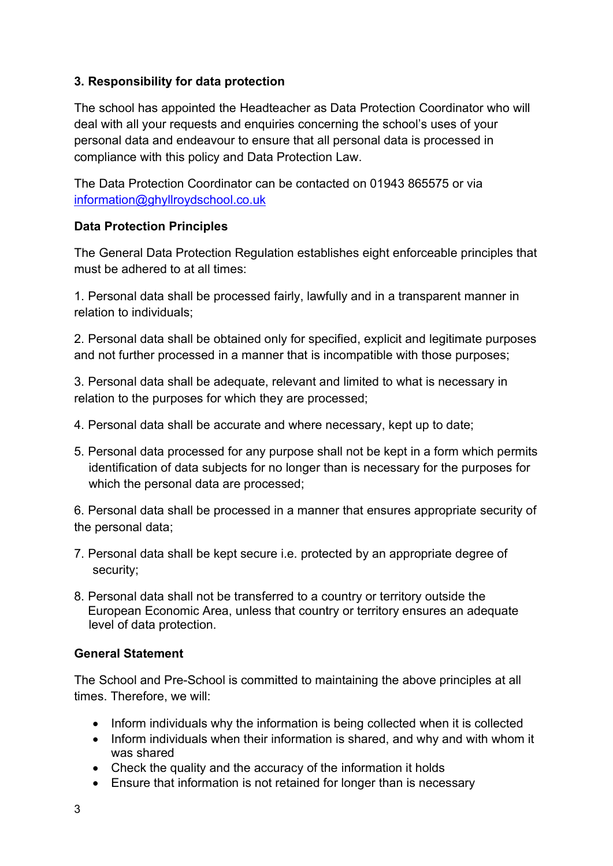#### 3. Responsibility for data protection

The school has appointed the Headteacher as Data Protection Coordinator who will deal with all your requests and enquiries concerning the school's uses of your personal data and endeavour to ensure that all personal data is processed in compliance with this policy and Data Protection Law.

The Data Protection Coordinator can be contacted on 01943 865575 or via information@ghyllroydschool.co.uk

#### Data Protection Principles

The General Data Protection Regulation establishes eight enforceable principles that must be adhered to at all times:

1. Personal data shall be processed fairly, lawfully and in a transparent manner in relation to individuals;

2. Personal data shall be obtained only for specified, explicit and legitimate purposes and not further processed in a manner that is incompatible with those purposes;

3. Personal data shall be adequate, relevant and limited to what is necessary in relation to the purposes for which they are processed;

- 4. Personal data shall be accurate and where necessary, kept up to date;
- 5. Personal data processed for any purpose shall not be kept in a form which permits identification of data subjects for no longer than is necessary for the purposes for which the personal data are processed;

6. Personal data shall be processed in a manner that ensures appropriate security of the personal data;

- 7. Personal data shall be kept secure i.e. protected by an appropriate degree of security;
- 8. Personal data shall not be transferred to a country or territory outside the European Economic Area, unless that country or territory ensures an adequate level of data protection.

#### General Statement

The School and Pre-School is committed to maintaining the above principles at all times. Therefore, we will:

- Inform individuals why the information is being collected when it is collected
- Inform individuals when their information is shared, and why and with whom it was shared
- Check the quality and the accuracy of the information it holds
- Ensure that information is not retained for longer than is necessary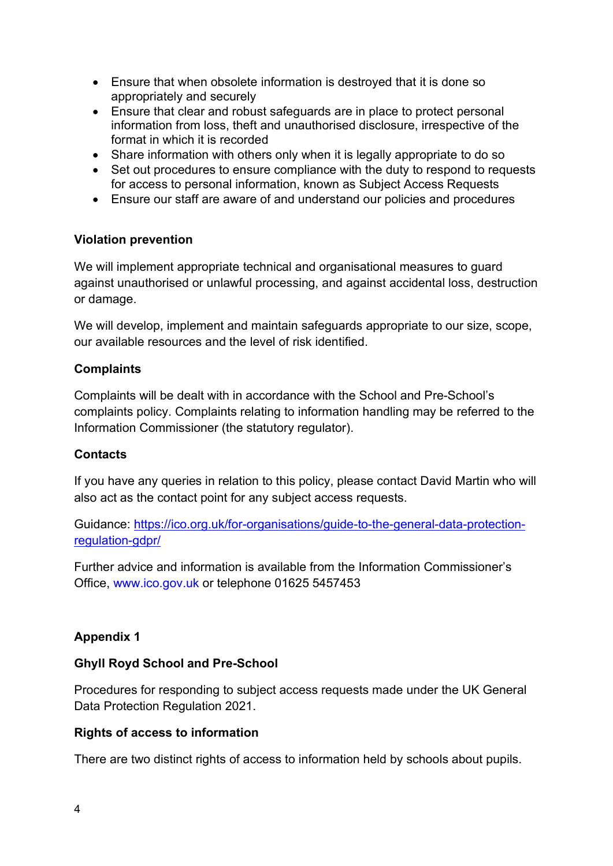- Ensure that when obsolete information is destroyed that it is done so appropriately and securely
- Ensure that clear and robust safeguards are in place to protect personal information from loss, theft and unauthorised disclosure, irrespective of the format in which it is recorded
- Share information with others only when it is legally appropriate to do so
- Set out procedures to ensure compliance with the duty to respond to requests for access to personal information, known as Subject Access Requests
- Ensure our staff are aware of and understand our policies and procedures

#### Violation prevention

We will implement appropriate technical and organisational measures to guard against unauthorised or unlawful processing, and against accidental loss, destruction or damage.

We will develop, implement and maintain safeguards appropriate to our size, scope, our available resources and the level of risk identified.

# **Complaints**

Complaints will be dealt with in accordance with the School and Pre-School's complaints policy. Complaints relating to information handling may be referred to the Information Commissioner (the statutory regulator).

# Contacts

If you have any queries in relation to this policy, please contact David Martin who will also act as the contact point for any subject access requests.

Guidance: https://ico.org.uk/for-organisations/guide-to-the-general-data-protectionregulation-gdpr/

Further advice and information is available from the Information Commissioner's Office, www.ico.gov.uk or telephone 01625 5457453

# Appendix 1

# Ghyll Royd School and Pre-School

Procedures for responding to subject access requests made under the UK General Data Protection Regulation 2021.

#### Rights of access to information

There are two distinct rights of access to information held by schools about pupils.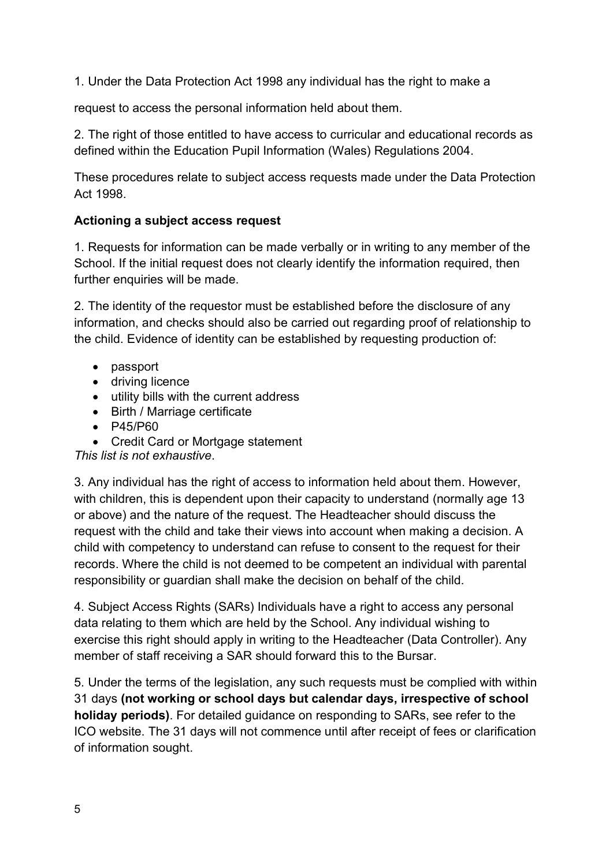1. Under the Data Protection Act 1998 any individual has the right to make a

request to access the personal information held about them.

2. The right of those entitled to have access to curricular and educational records as defined within the Education Pupil Information (Wales) Regulations 2004.

These procedures relate to subject access requests made under the Data Protection Act 1998.

#### Actioning a subject access request

1. Requests for information can be made verbally or in writing to any member of the School. If the initial request does not clearly identify the information required, then further enquiries will be made.

2. The identity of the requestor must be established before the disclosure of any information, and checks should also be carried out regarding proof of relationship to the child. Evidence of identity can be established by requesting production of:

- passport
- driving licence
- utility bills with the current address
- Birth / Marriage certificate
- P45/P60
- Credit Card or Mortgage statement

This list is not exhaustive.

3. Any individual has the right of access to information held about them. However, with children, this is dependent upon their capacity to understand (normally age 13 or above) and the nature of the request. The Headteacher should discuss the request with the child and take their views into account when making a decision. A child with competency to understand can refuse to consent to the request for their records. Where the child is not deemed to be competent an individual with parental responsibility or guardian shall make the decision on behalf of the child.

4. Subject Access Rights (SARs) Individuals have a right to access any personal data relating to them which are held by the School. Any individual wishing to exercise this right should apply in writing to the Headteacher (Data Controller). Any member of staff receiving a SAR should forward this to the Bursar.

5. Under the terms of the legislation, any such requests must be complied with within 31 days (not working or school days but calendar days, irrespective of school holiday periods). For detailed guidance on responding to SARs, see refer to the ICO website. The 31 days will not commence until after receipt of fees or clarification of information sought.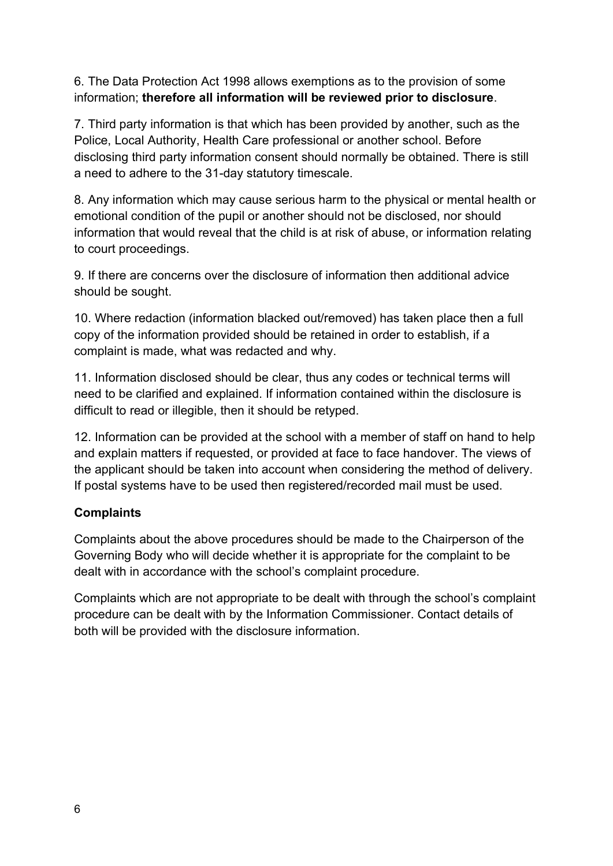6. The Data Protection Act 1998 allows exemptions as to the provision of some information; therefore all information will be reviewed prior to disclosure.

7. Third party information is that which has been provided by another, such as the Police, Local Authority, Health Care professional or another school. Before disclosing third party information consent should normally be obtained. There is still a need to adhere to the 31-day statutory timescale.

8. Any information which may cause serious harm to the physical or mental health or emotional condition of the pupil or another should not be disclosed, nor should information that would reveal that the child is at risk of abuse, or information relating to court proceedings.

9. If there are concerns over the disclosure of information then additional advice should be sought.

10. Where redaction (information blacked out/removed) has taken place then a full copy of the information provided should be retained in order to establish, if a complaint is made, what was redacted and why.

11. Information disclosed should be clear, thus any codes or technical terms will need to be clarified and explained. If information contained within the disclosure is difficult to read or illegible, then it should be retyped.

12. Information can be provided at the school with a member of staff on hand to help and explain matters if requested, or provided at face to face handover. The views of the applicant should be taken into account when considering the method of delivery. If postal systems have to be used then registered/recorded mail must be used.

#### **Complaints**

Complaints about the above procedures should be made to the Chairperson of the Governing Body who will decide whether it is appropriate for the complaint to be dealt with in accordance with the school's complaint procedure.

Complaints which are not appropriate to be dealt with through the school's complaint procedure can be dealt with by the Information Commissioner. Contact details of both will be provided with the disclosure information.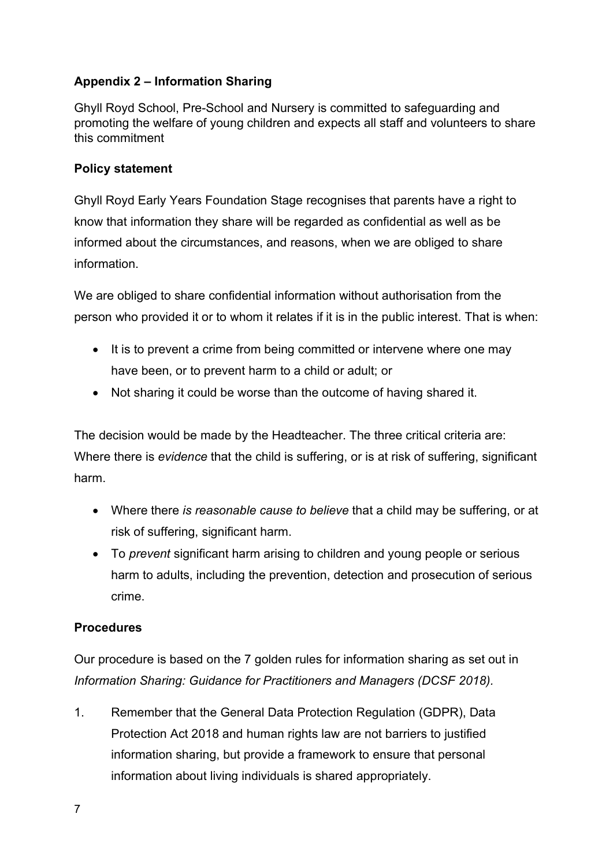# Appendix 2 – Information Sharing

Ghyll Royd School, Pre-School and Nursery is committed to safeguarding and promoting the welfare of young children and expects all staff and volunteers to share this commitment

#### Policy statement

Ghyll Royd Early Years Foundation Stage recognises that parents have a right to know that information they share will be regarded as confidential as well as be informed about the circumstances, and reasons, when we are obliged to share information.

We are obliged to share confidential information without authorisation from the person who provided it or to whom it relates if it is in the public interest. That is when:

- It is to prevent a crime from being committed or intervene where one may have been, or to prevent harm to a child or adult; or
- Not sharing it could be worse than the outcome of having shared it.

The decision would be made by the Headteacher. The three critical criteria are: Where there is evidence that the child is suffering, or is at risk of suffering, significant harm.

- Where there is reasonable cause to believe that a child may be suffering, or at risk of suffering, significant harm.
- To prevent significant harm arising to children and young people or serious harm to adults, including the prevention, detection and prosecution of serious crime.

#### Procedures

Our procedure is based on the 7 golden rules for information sharing as set out in Information Sharing: Guidance for Practitioners and Managers (DCSF 2018).

1. Remember that the General Data Protection Regulation (GDPR), Data Protection Act 2018 and human rights law are not barriers to justified information sharing, but provide a framework to ensure that personal information about living individuals is shared appropriately.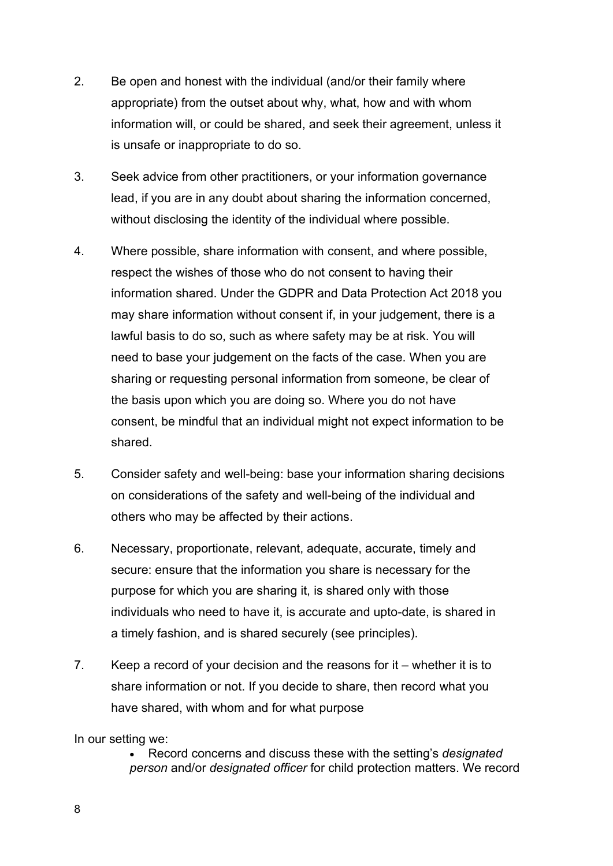- 2. Be open and honest with the individual (and/or their family where appropriate) from the outset about why, what, how and with whom information will, or could be shared, and seek their agreement, unless it is unsafe or inappropriate to do so.
- 3. Seek advice from other practitioners, or your information governance lead, if you are in any doubt about sharing the information concerned, without disclosing the identity of the individual where possible.
- 4. Where possible, share information with consent, and where possible, respect the wishes of those who do not consent to having their information shared. Under the GDPR and Data Protection Act 2018 you may share information without consent if, in your judgement, there is a lawful basis to do so, such as where safety may be at risk. You will need to base your judgement on the facts of the case. When you are sharing or requesting personal information from someone, be clear of the basis upon which you are doing so. Where you do not have consent, be mindful that an individual might not expect information to be shared.
- 5. Consider safety and well-being: base your information sharing decisions on considerations of the safety and well-being of the individual and others who may be affected by their actions.
- 6. Necessary, proportionate, relevant, adequate, accurate, timely and secure: ensure that the information you share is necessary for the purpose for which you are sharing it, is shared only with those individuals who need to have it, is accurate and upto-date, is shared in a timely fashion, and is shared securely (see principles).
- 7. Keep a record of your decision and the reasons for it whether it is to share information or not. If you decide to share, then record what you have shared, with whom and for what purpose

In our setting we:

 Record concerns and discuss these with the setting's designated person and/or designated officer for child protection matters. We record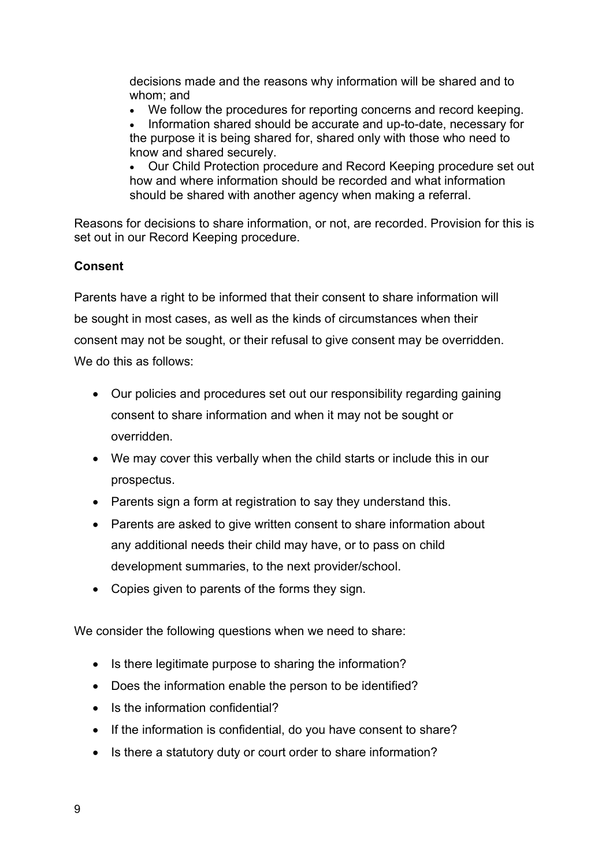decisions made and the reasons why information will be shared and to whom; and

We follow the procedures for reporting concerns and record keeping.

 Information shared should be accurate and up-to-date, necessary for the purpose it is being shared for, shared only with those who need to know and shared securely.

 Our Child Protection procedure and Record Keeping procedure set out how and where information should be recorded and what information should be shared with another agency when making a referral.

Reasons for decisions to share information, or not, are recorded. Provision for this is set out in our Record Keeping procedure.

#### Consent

Parents have a right to be informed that their consent to share information will be sought in most cases, as well as the kinds of circumstances when their consent may not be sought, or their refusal to give consent may be overridden. We do this as follows:

- Our policies and procedures set out our responsibility regarding gaining consent to share information and when it may not be sought or overridden.
- We may cover this verbally when the child starts or include this in our prospectus.
- Parents sign a form at registration to say they understand this.
- Parents are asked to give written consent to share information about any additional needs their child may have, or to pass on child development summaries, to the next provider/school.
- Copies given to parents of the forms they sign.

We consider the following questions when we need to share:

- Is there legitimate purpose to sharing the information?
- Does the information enable the person to be identified?
- Is the information confidential?
- If the information is confidential, do you have consent to share?
- Is there a statutory duty or court order to share information?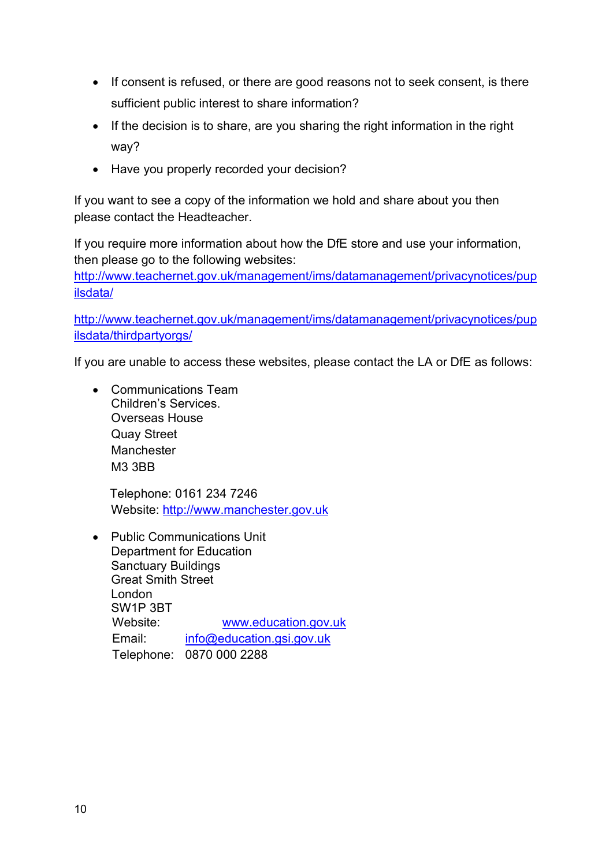- If consent is refused, or there are good reasons not to seek consent, is there sufficient public interest to share information?
- If the decision is to share, are you sharing the right information in the right way?
- Have you properly recorded your decision?

If you want to see a copy of the information we hold and share about you then please contact the Headteacher.

If you require more information about how the DfE store and use your information, then please go to the following websites:

http://www.teachernet.gov.uk/management/ims/datamanagement/privacynotices/pup ilsdata/

http://www.teachernet.gov.uk/management/ims/datamanagement/privacynotices/pup ilsdata/thirdpartyorgs/

If you are unable to access these websites, please contact the LA or DfE as follows:

 Communications Team Children's Services. Overseas House Quay Street Manchester M3 3BB

 Telephone: 0161 234 7246 Website: http://www.manchester.gov.uk

 Public Communications Unit Department for Education Sanctuary Buildings Great Smith Street London SW1P 3BT Website: www.education.gov.uk Email: info@education.gsi.gov.uk Telephone: 0870 000 2288